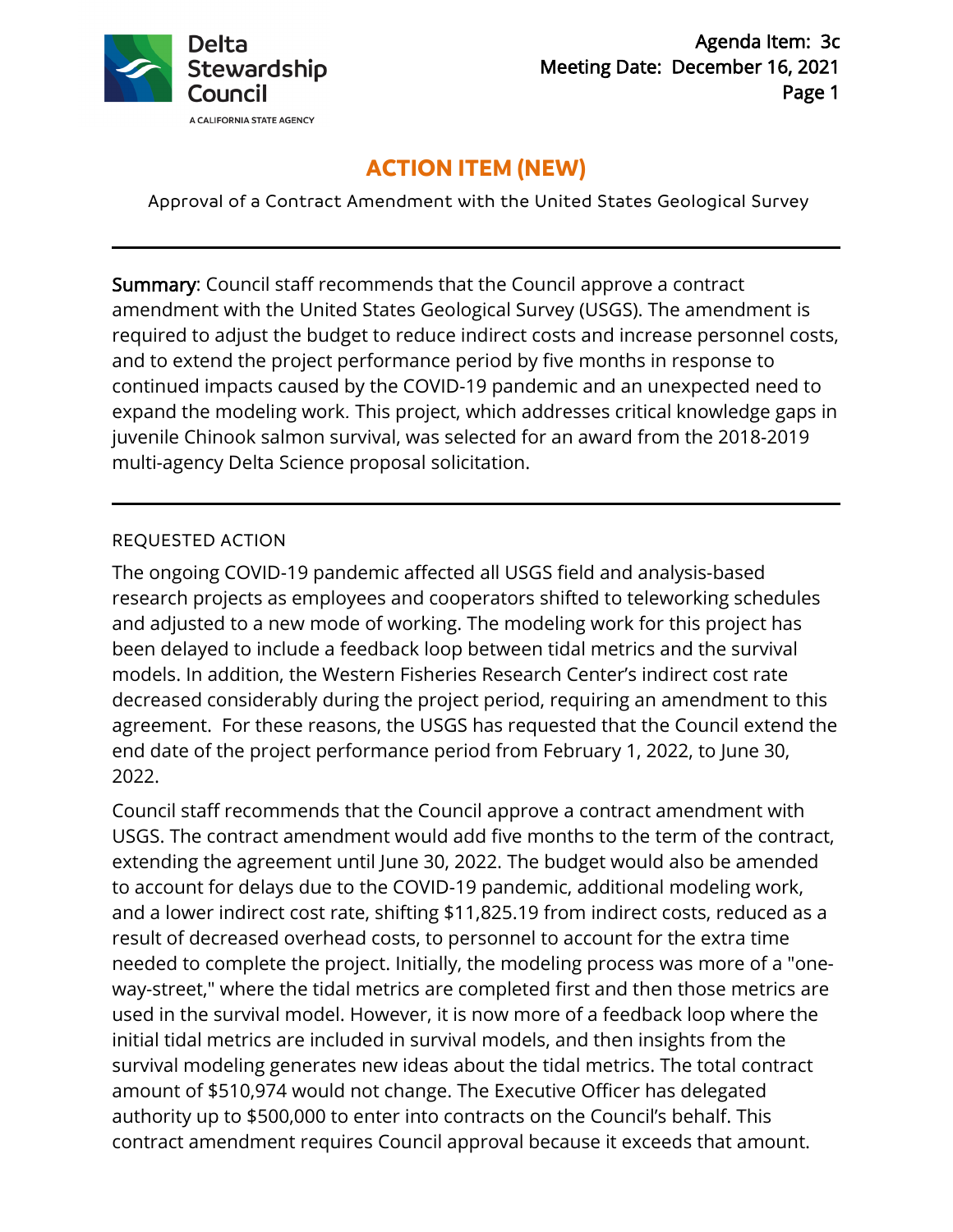

## **ACTION ITEM (NEW)**

Approval of a Contract Amendment with the United States Geological Survey

Summary: Council staff recommends that the Council approve a contract amendment with the United States Geological Survey (USGS). The amendment is required to adjust the budget to reduce indirect costs and increase personnel costs, and to extend the project performance period by five months in response to continued impacts caused by the COVID-19 pandemic and an unexpected need to expand the modeling work*.* This project, which addresses critical knowledge gaps in juvenile Chinook salmon survival, was selected for an award from the 2018-2019 multi-agency Delta Science proposal solicitation.

## REQUESTED ACTION

The ongoing COVID-19 pandemic affected all USGS field and analysis-based research projects as employees and cooperators shifted to teleworking schedules and adjusted to a new mode of working. The modeling work for this project has been delayed to include a feedback loop between tidal metrics and the survival models. In addition, the Western Fisheries Research Center's indirect cost rate decreased considerably during the project period, requiring an amendment to this agreement. For these reasons, the USGS has requested that the Council extend the end date of the project performance period from February 1, 2022, to June 30, 2022.

Council staff recommends that the Council approve a contract amendment with USGS. The contract amendment would add five months to the term of the contract, extending the agreement until June 30, 2022. The budget would also be amended to account for delays due to the COVID-19 pandemic, additional modeling work, and a lower indirect cost rate, shifting \$11,825.19 from indirect costs, reduced as a result of decreased overhead costs, to personnel to account for the extra time needed to complete the project. Initially, the modeling process was more of a "oneway-street," where the tidal metrics are completed first and then those metrics are used in the survival model. However, it is now more of a feedback loop where the initial tidal metrics are included in survival models, and then insights from the survival modeling generates new ideas about the tidal metrics. The total contract amount of \$510,974 would not change. The Executive Officer has delegated authority up to \$500,000 to enter into contracts on the Council's behalf. This contract amendment requires Council approval because it exceeds that amount.